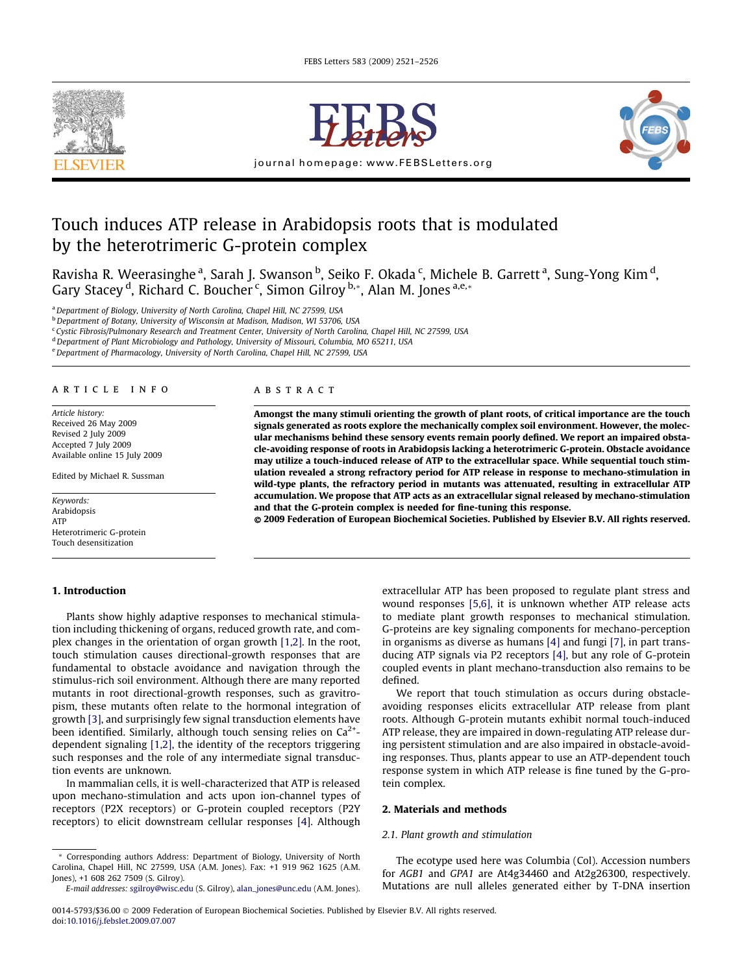<span id="page-0-0"></span>



journal homepage: [www.FEBSLetters.org](http://www.FEBSLetters.org)



# Touch induces ATP release in Arabidopsis roots that is modulated by the heterotrimeric G-protein complex

Ravisha R. Weerasinghe <sup>a</sup>, Sarah J. Swanson <sup>b</sup>, Seiko F. Okada <sup>c</sup>, Michele B. Garrett <sup>a</sup>, Sung-Yong Kim <sup>d</sup>, Gary Stacey <sup>d</sup>, Richard C. Boucher <sup>c</sup>, Simon Gilroy <sup>b,</sup>\*, Alan M. Jones <sup>a,e,</sup>\*

<sup>a</sup> Department of Biology, University of North Carolina, Chapel Hill, NC 27599, USA

b Department of Botany, University of Wisconsin at Madison, Madison, WI 53706, USA

<sup>c</sup> Cystic Fibrosis/Pulmonary Research and Treatment Center, University of North Carolina, Chapel Hill, NC 27599, USA

<sup>d</sup> Department of Plant Microbiology and Pathology, University of Missouri, Columbia, MO 65211, USA

e Department of Pharmacology, University of North Carolina, Chapel Hill, NC 27599, USA

#### article info

Article history: Received 26 May 2009 Revised 2 July 2009 Accepted 7 July 2009 Available online 15 July 2009

Edited by Michael R. Sussman

Keywords: Arabidopsis ATP Heterotrimeric G-protein Touch desensitization

#### 1. Introduction

# abstract

Amongst the many stimuli orienting the growth of plant roots, of critical importance are the touch signals generated as roots explore the mechanically complex soil environment. However, the molecular mechanisms behind these sensory events remain poorly defined. We report an impaired obstacle-avoiding response of roots in Arabidopsis lacking a heterotrimeric G-protein. Obstacle avoidance may utilize a touch-induced release of ATP to the extracellular space. While sequential touch stimulation revealed a strong refractory period for ATP release in response to mechano-stimulation in wild-type plants, the refractory period in mutants was attenuated, resulting in extracellular ATP accumulation. We propose that ATP acts as an extracellular signal released by mechano-stimulation and that the G-protein complex is needed for fine-tuning this response.

- 2009 Federation of European Biochemical Societies. Published by Elsevier B.V. All rights reserved.

Plants show highly adaptive responses to mechanical stimulation including thickening of organs, reduced growth rate, and complex changes in the orientation of organ growth [\[1,2\]](#page-4-0). In the root, touch stimulation causes directional-growth responses that are fundamental to obstacle avoidance and navigation through the stimulus-rich soil environment. Although there are many reported mutants in root directional-growth responses, such as gravitropism, these mutants often relate to the hormonal integration of growth [\[3\]](#page-4-0), and surprisingly few signal transduction elements have been identified. Similarly, although touch sensing relies on  $Ca<sup>2+</sup>$ dependent signaling [\[1,2\]](#page-4-0), the identity of the receptors triggering such responses and the role of any intermediate signal transduction events are unknown.

In mammalian cells, it is well-characterized that ATP is released upon mechano-stimulation and acts upon ion-channel types of receptors (P2X receptors) or G-protein coupled receptors (P2Y receptors) to elicit downstream cellular responses [\[4\]](#page-4-0). Although extracellular ATP has been proposed to regulate plant stress and wound responses [\[5,6\],](#page-4-0) it is unknown whether ATP release acts to mediate plant growth responses to mechanical stimulation. G-proteins are key signaling components for mechano-perception in organisms as diverse as humans [\[4\]](#page-4-0) and fungi [\[7\],](#page-4-0) in part transducing ATP signals via P2 receptors [\[4\]](#page-4-0), but any role of G-protein coupled events in plant mechano-transduction also remains to be defined.

We report that touch stimulation as occurs during obstacleavoiding responses elicits extracellular ATP release from plant roots. Although G-protein mutants exhibit normal touch-induced ATP release, they are impaired in down-regulating ATP release during persistent stimulation and are also impaired in obstacle-avoiding responses. Thus, plants appear to use an ATP-dependent touch response system in which ATP release is fine tuned by the G-protein complex.

#### 2. Materials and methods

## 2.1. Plant growth and stimulation

The ecotype used here was Columbia (Col). Accession numbers for AGB1 and GPA1 are At4g34460 and At2g26300, respectively. Mutations are null alleles generated either by T-DNA insertion

<sup>\*</sup> Corresponding authors Address: Department of Biology, University of North Carolina, Chapel Hill, NC 27599, USA (A.M. Jones). Fax: +1 919 962 1625 (A.M. Jones), +1 608 262 7509 (S. Gilroy).

E-mail addresses: [sgilroy@wisc.edu](mailto:sgilroy@wisc.edu) (S. Gilroy), [alan\\_jones@unc.edu](mailto:alan_jones@unc.edu) (A.M. Jones).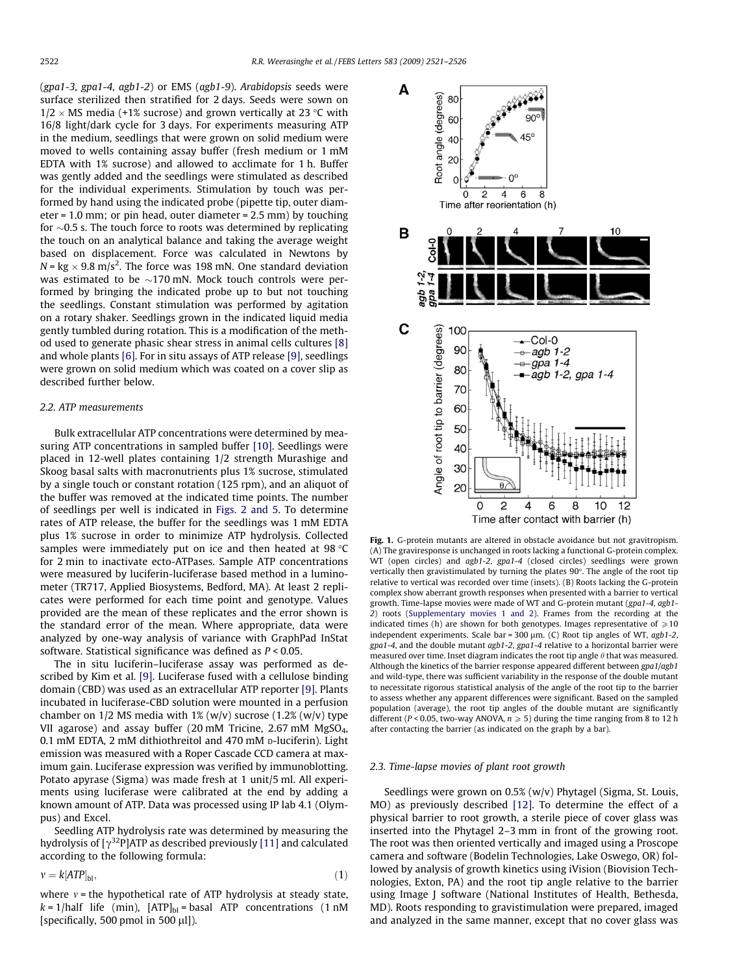<span id="page-1-0"></span>(gpa1-3, gpa1-4, agb1-2) or EMS (agb1-9). Arabidopsis seeds were surface sterilized then stratified for 2 days. Seeds were sown on 1/2  $\times$  MS media (+1% sucrose) and grown vertically at 23 °C with 16/8 light/dark cycle for 3 days. For experiments measuring ATP in the medium, seedlings that were grown on solid medium were moved to wells containing assay buffer (fresh medium or 1 mM EDTA with 1% sucrose) and allowed to acclimate for 1 h. Buffer was gently added and the seedlings were stimulated as described for the individual experiments. Stimulation by touch was performed by hand using the indicated probe (pipette tip, outer diameter = 1.0 mm; or pin head, outer diameter = 2.5 mm) by touching for  $\sim$ 0.5 s. The touch force to roots was determined by replicating the touch on an analytical balance and taking the average weight based on displacement. Force was calculated in Newtons by N = kg  $\times$  9.8 m/s<sup>2</sup>. The force was 198 mN. One standard deviation was estimated to be  $\sim$ 170 mN. Mock touch controls were performed by bringing the indicated probe up to but not touching the seedlings. Constant stimulation was performed by agitation on a rotary shaker. Seedlings grown in the indicated liquid media gently tumbled during rotation. This is a modification of the method used to generate phasic shear stress in animal cells cultures [\[8\]](#page-4-0) and whole plants [\[6\]](#page-4-0). For in situ assays of ATP release [\[9\],](#page-4-0) seedlings were grown on solid medium which was coated on a cover slip as described further below.

#### 2.2. ATP measurements

Bulk extracellular ATP concentrations were determined by measuring ATP concentrations in sampled buffer [\[10\].](#page-5-0) Seedlings were placed in 12-well plates containing 1/2 strength Murashige and Skoog basal salts with macronutrients plus 1% sucrose, stimulated by a single touch or constant rotation (125 rpm), and an aliquot of the buffer was removed at the indicated time points. The number of seedlings per well is indicated in [Figs. 2 and 5.](#page-2-0) To determine rates of ATP release, the buffer for the seedlings was 1 mM EDTA plus 1% sucrose in order to minimize ATP hydrolysis. Collected samples were immediately put on ice and then heated at 98 $\degree$ C for 2 min to inactivate ecto-ATPases. Sample ATP concentrations were measured by luciferin-luciferase based method in a luminometer (TR717, Applied Biosystems, Bedford, MA). At least 2 replicates were performed for each time point and genotype. Values provided are the mean of these replicates and the error shown is the standard error of the mean. Where appropriate, data were analyzed by one-way analysis of variance with GraphPad InStat software. Statistical significance was defined as P < 0.05.

The in situ luciferin–luciferase assay was performed as described by Kim et al. [\[9\]](#page-4-0). Luciferase fused with a cellulose binding domain (CBD) was used as an extracellular ATP reporter [\[9\].](#page-4-0) Plants incubated in luciferase-CBD solution were mounted in a perfusion chamber on  $1/2$  MS media with  $1\%$  (w/v) sucrose (1.2% (w/v) type VII agarose) and assay buffer (20 mM Tricine, 2.67 mM MgSO4, 0.1 mM EDTA, 2 mM dithiothreitol and 470 mM p-luciferin). Light emission was measured with a Roper Cascade CCD camera at maximum gain. Luciferase expression was verified by immunoblotting. Potato apyrase (Sigma) was made fresh at 1 unit/5 ml. All experiments using luciferase were calibrated at the end by adding a known amount of ATP. Data was processed using IP lab 4.1 (Olympus) and Excel.

Seedling ATP hydrolysis rate was determined by measuring the hydrolysis of  $[\gamma^{32}P]$ ATP as described previously [\[11\]](#page-5-0) and calculated according to the following formula:

$$
v = k[ATP]_{\text{bl}},\tag{1}
$$

where  $v$  = the hypothetical rate of ATP hydrolysis at steady state,  $k = 1/h$ alf life (min),  $[ATP]_{bl}$  = basal ATP concentrations (1 nM [specifically, 500 pmol in 500  $\mu$ l]).



Fig. 1. G-protein mutants are altered in obstacle avoidance but not gravitropism. (A) The graviresponse is unchanged in roots lacking a functional G-protein complex. WT (open circles) and agb1-2, gpa1-4 (closed circles) seedlings were grown vertically then gravistimulated by turning the plates  $90^\circ$ . The angle of the root tip relative to vertical was recorded over time (insets). (B) Roots lacking the G-protein complex show aberrant growth responses when presented with a barrier to vertical growth. Time-lapse movies were made of WT and G-protein mutant (gpa1-4, agb1- 2) roots (Supplementary movies 1 and 2). Frames from the recording at the indicated times (h) are shown for both genotypes. Images representative of  $\geqslant$  10 independent experiments. Scale bar =  $300 \mu m$ . (C) Root tip angles of WT, agb1-2, gpa1-4, and the double mutant agb1-2, gpa1-4 relative to a horizontal barrier were measured over time. Inset diagram indicates the root tip angle  $\theta$  that was measured. Although the kinetics of the barrier response appeared different between gpa1/agb1 and wild-type, there was sufficient variability in the response of the double mutant to necessitate rigorous statistical analysis of the angle of the root tip to the barrier to assess whether any apparent differences were significant. Based on the sampled population (average), the root tip angles of the double mutant are significantly different (P < 0.05, two-way ANOVA,  $n \geqslant 5$ ) during the time ranging from 8 to 12 h after contacting the barrier (as indicated on the graph by a bar).

#### 2.3. Time-lapse movies of plant root growth

Seedlings were grown on 0.5% (w/v) Phytagel (Sigma, St. Louis, MO) as previously described [\[12\].](#page-5-0) To determine the effect of a physical barrier to root growth, a sterile piece of cover glass was inserted into the Phytagel 2–3 mm in front of the growing root. The root was then oriented vertically and imaged using a Proscope camera and software (Bodelin Technologies, Lake Oswego, OR) followed by analysis of growth kinetics using iVision (Biovision Technologies, Exton, PA) and the root tip angle relative to the barrier using Image J software (National Institutes of Health, Bethesda, MD). Roots responding to gravistimulation were prepared, imaged and analyzed in the same manner, except that no cover glass was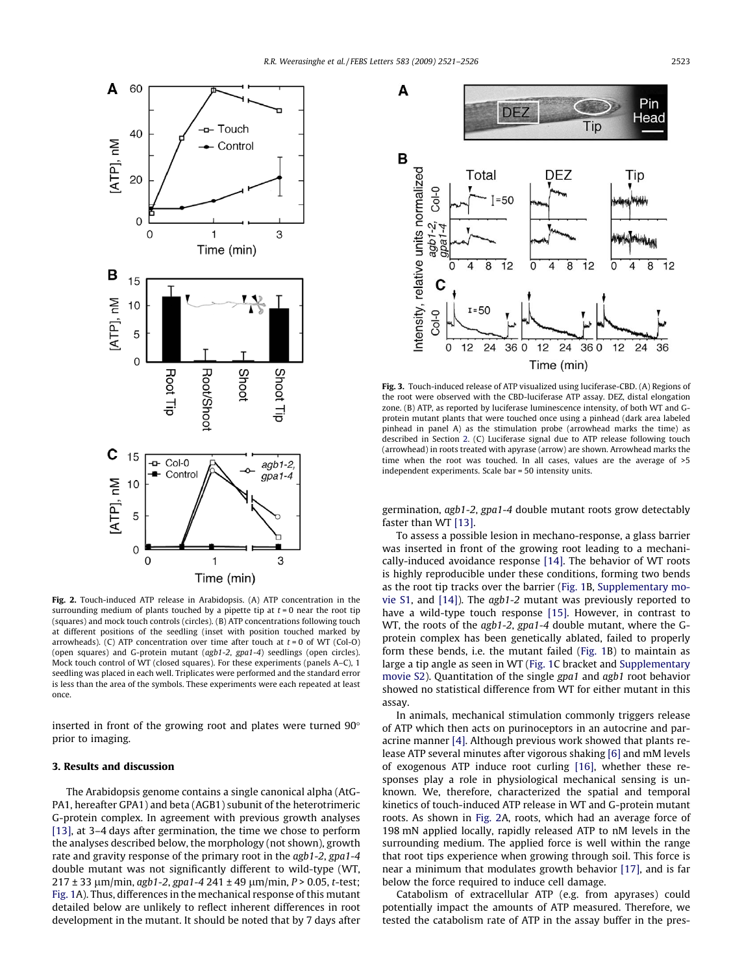<span id="page-2-0"></span>

Fig. 2. Touch-induced ATP release in Arabidopsis. (A) ATP concentration in the surrounding medium of plants touched by a pipette tip at  $t = 0$  near the root tip (squares) and mock touch controls (circles). (B) ATP concentrations following touch at different positions of the seedling (inset with position touched marked by arrowheads). (C) ATP concentration over time after touch at  $t = 0$  of WT (Col-O) (open squares) and G-protein mutant (agb1-2, gpa1-4) seedlings (open circles). Mock touch control of WT (closed squares). For these experiments (panels A–C), 1 seedling was placed in each well. Triplicates were performed and the standard error is less than the area of the symbols. These experiments were each repeated at least once.

inserted in front of the growing root and plates were turned 90° prior to imaging.

# 3. Results and discussion

The Arabidopsis genome contains a single canonical alpha (AtG-PA1, hereafter GPA1) and beta (AGB1) subunit of the heterotrimeric G-protein complex. In agreement with previous growth analyses [\[13\],](#page-5-0) at 3–4 days after germination, the time we chose to perform the analyses described below, the morphology (not shown), growth rate and gravity response of the primary root in the agb1-2, gpa1-4 double mutant was not significantly different to wild-type (WT,  $217 \pm 33$  µm/min, agb1-2, gpa1-4 241  $\pm$  49 µm/min, P > 0.05, t-test; [Fig. 1A](#page-1-0)). Thus, differences in the mechanical response of this mutant detailed below are unlikely to reflect inherent differences in root development in the mutant. It should be noted that by 7 days after



Fig. 3. Touch-induced release of ATP visualized using luciferase-CBD. (A) Regions of the root were observed with the CBD-luciferase ATP assay. DEZ, distal elongation zone. (B) ATP, as reported by luciferase luminescence intensity, of both WT and Gprotein mutant plants that were touched once using a pinhead (dark area labeled pinhead in panel A) as the stimulation probe (arrowhead marks the time) as described in Section [2](#page-0-0). (C) Luciferase signal due to ATP release following touch (arrowhead) in roots treated with apyrase (arrow) are shown. Arrowhead marks the time when the root was touched. In all cases, values are the average of >5 independent experiments. Scale bar = 50 intensity units.

germination, agb1-2, gpa1-4 double mutant roots grow detectably faster than WT [\[13\].](#page-5-0)

To assess a possible lesion in mechano-response, a glass barrier was inserted in front of the growing root leading to a mechanically-induced avoidance response [\[14\].](#page-5-0) The behavior of WT roots is highly reproducible under these conditions, forming two bends as the root tip tracks over the barrier ([Fig. 1B](#page-1-0), Supplementary movie S1, and [\[14\]](#page-5-0)). The agb1-2 mutant was previously reported to have a wild-type touch response [\[15\]](#page-5-0). However, in contrast to WT, the roots of the *agb1-2*, *gpa1-4* double mutant, where the Gprotein complex has been genetically ablated, failed to properly form these bends, i.e. the mutant failed [\(Fig. 1B](#page-1-0)) to maintain as large a tip angle as seen in WT [\(Fig. 1](#page-1-0)C bracket and Supplementary movie S2). Quantitation of the single gpa1 and agb1 root behavior showed no statistical difference from WT for either mutant in this assay.

In animals, mechanical stimulation commonly triggers release of ATP which then acts on purinoceptors in an autocrine and paracrine manner [\[4\]](#page-4-0). Although previous work showed that plants release ATP several minutes after vigorous shaking [\[6\]](#page-4-0) and mM levels of exogenous ATP induce root curling [\[16\]](#page-5-0), whether these responses play a role in physiological mechanical sensing is unknown. We, therefore, characterized the spatial and temporal kinetics of touch-induced ATP release in WT and G-protein mutant roots. As shown in Fig. 2A, roots, which had an average force of 198 mN applied locally, rapidly released ATP to nM levels in the surrounding medium. The applied force is well within the range that root tips experience when growing through soil. This force is near a minimum that modulates growth behavior [\[17\]](#page-5-0), and is far below the force required to induce cell damage.

Catabolism of extracellular ATP (e.g. from apyrases) could potentially impact the amounts of ATP measured. Therefore, we tested the catabolism rate of ATP in the assay buffer in the pres-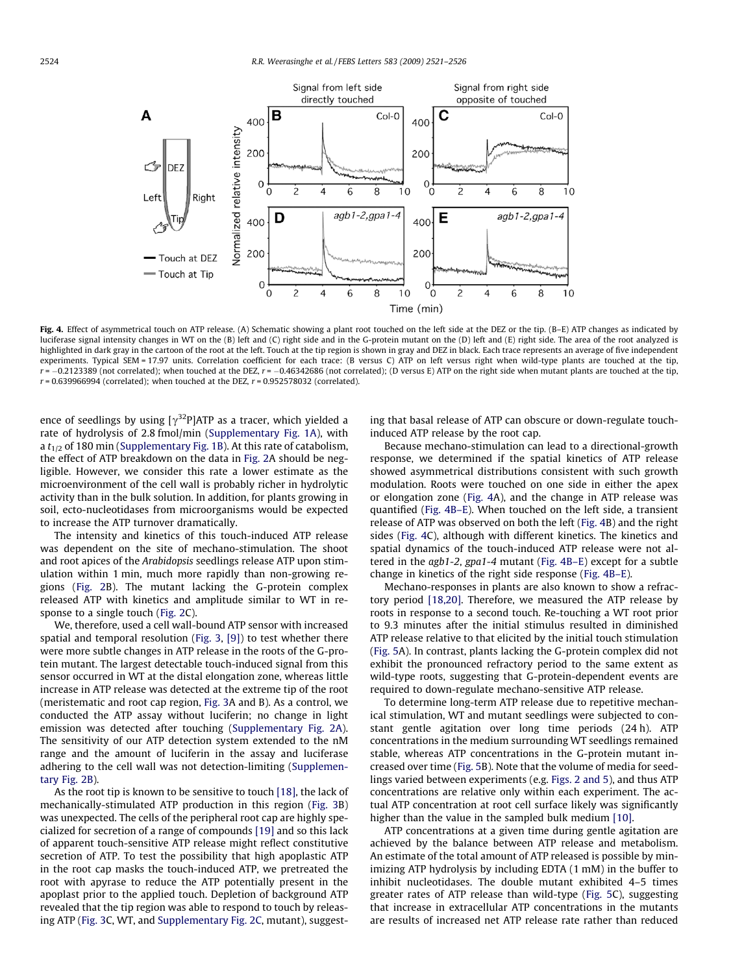

Fig. 4. Effect of asymmetrical touch on ATP release. (A) Schematic showing a plant root touched on the left side at the DEZ or the tip. (B–E) ATP changes as indicated by luciferase signal intensity changes in WT on the (B) left and (C) right side and in the G-protein mutant on the (D) left and (E) right side. The area of the root analyzed is highlighted in dark gray in the cartoon of the root at the left. Touch at the tip region is shown in gray and DEZ in black. Each trace represents an average of five independent experiments. Typical SEM = 17.97 units. Correlation coefficient for each trace: (B versus C) ATP on left versus right when wild-type plants are touched at the tip,  $r = -0.2123389$  (not correlated); when touched at the DEZ,  $r = -0.46342686$  (not correlated); (D versus E) ATP on the right side when mutant plants are touched at the tip,  $r = 0.639966994$  (correlated); when touched at the DEZ,  $r = 0.952578032$  (correlated).

ence of seedlings by using  $[\gamma^{32}P]$ ATP as a tracer, which yielded a rate of hydrolysis of 2.8 fmol/min (Supplementary Fig. 1A), with a  $t_{1/2}$  of 180 min (Supplementary Fig. 1B). At this rate of catabolism, the effect of ATP breakdown on the data in [Fig. 2](#page-2-0)A should be negligible. However, we consider this rate a lower estimate as the microenvironment of the cell wall is probably richer in hydrolytic activity than in the bulk solution. In addition, for plants growing in soil, ecto-nucleotidases from microorganisms would be expected to increase the ATP turnover dramatically.

The intensity and kinetics of this touch-induced ATP release was dependent on the site of mechano-stimulation. The shoot and root apices of the Arabidopsis seedlings release ATP upon stimulation within 1 min, much more rapidly than non-growing regions [\(Fig. 2](#page-2-0)B). The mutant lacking the G-protein complex released ATP with kinetics and amplitude similar to WT in response to a single touch ([Fig. 2C](#page-2-0)).

We, therefore, used a cell wall-bound ATP sensor with increased spatial and temporal resolution [\(Fig. 3](#page-2-0), [\[9\]\)](#page-4-0) to test whether there were more subtle changes in ATP release in the roots of the G-protein mutant. The largest detectable touch-induced signal from this sensor occurred in WT at the distal elongation zone, whereas little increase in ATP release was detected at the extreme tip of the root (meristematic and root cap region, [Fig. 3A](#page-2-0) and B). As a control, we conducted the ATP assay without luciferin; no change in light emission was detected after touching (Supplementary Fig. 2A). The sensitivity of our ATP detection system extended to the nM range and the amount of luciferin in the assay and luciferase adhering to the cell wall was not detection-limiting (Supplementary Fig. 2B).

As the root tip is known to be sensitive to touch [\[18\],](#page-5-0) the lack of mechanically-stimulated ATP production in this region [\(Fig. 3B](#page-2-0)) was unexpected. The cells of the peripheral root cap are highly specialized for secretion of a range of compounds [\[19\]](#page-5-0) and so this lack of apparent touch-sensitive ATP release might reflect constitutive secretion of ATP. To test the possibility that high apoplastic ATP in the root cap masks the touch-induced ATP, we pretreated the root with apyrase to reduce the ATP potentially present in the apoplast prior to the applied touch. Depletion of background ATP revealed that the tip region was able to respond to touch by releasing ATP [\(Fig. 3](#page-2-0)C, WT, and Supplementary Fig. 2C, mutant), suggesting that basal release of ATP can obscure or down-regulate touchinduced ATP release by the root cap.

Because mechano-stimulation can lead to a directional-growth response, we determined if the spatial kinetics of ATP release showed asymmetrical distributions consistent with such growth modulation. Roots were touched on one side in either the apex or elongation zone (Fig. 4A), and the change in ATP release was quantified (Fig. 4B–E). When touched on the left side, a transient release of ATP was observed on both the left (Fig. 4B) and the right sides (Fig. 4C), although with different kinetics. The kinetics and spatial dynamics of the touch-induced ATP release were not altered in the agb1-2, gpa1-4 mutant (Fig. 4B–E) except for a subtle change in kinetics of the right side response (Fig. 4B–E).

Mechano-responses in plants are also known to show a refractory period [\[18,20\].](#page-5-0) Therefore, we measured the ATP release by roots in response to a second touch. Re-touching a WT root prior to 9.3 minutes after the initial stimulus resulted in diminished ATP release relative to that elicited by the initial touch stimulation ([Fig. 5A](#page-4-0)). In contrast, plants lacking the G-protein complex did not exhibit the pronounced refractory period to the same extent as wild-type roots, suggesting that G-protein-dependent events are required to down-regulate mechano-sensitive ATP release.

To determine long-term ATP release due to repetitive mechanical stimulation, WT and mutant seedlings were subjected to constant gentle agitation over long time periods (24 h). ATP concentrations in the medium surrounding WT seedlings remained stable, whereas ATP concentrations in the G-protein mutant increased over time ([Fig. 5](#page-4-0)B). Note that the volume of media for seedlings varied between experiments (e.g. [Figs. 2 and 5](#page-2-0)), and thus ATP concentrations are relative only within each experiment. The actual ATP concentration at root cell surface likely was significantly higher than the value in the sampled bulk medium [\[10\].](#page-5-0)

ATP concentrations at a given time during gentle agitation are achieved by the balance between ATP release and metabolism. An estimate of the total amount of ATP released is possible by minimizing ATP hydrolysis by including EDTA (1 mM) in the buffer to inhibit nucleotidases. The double mutant exhibited 4–5 times greater rates of ATP release than wild-type ([Fig. 5](#page-4-0)C), suggesting that increase in extracellular ATP concentrations in the mutants are results of increased net ATP release rate rather than reduced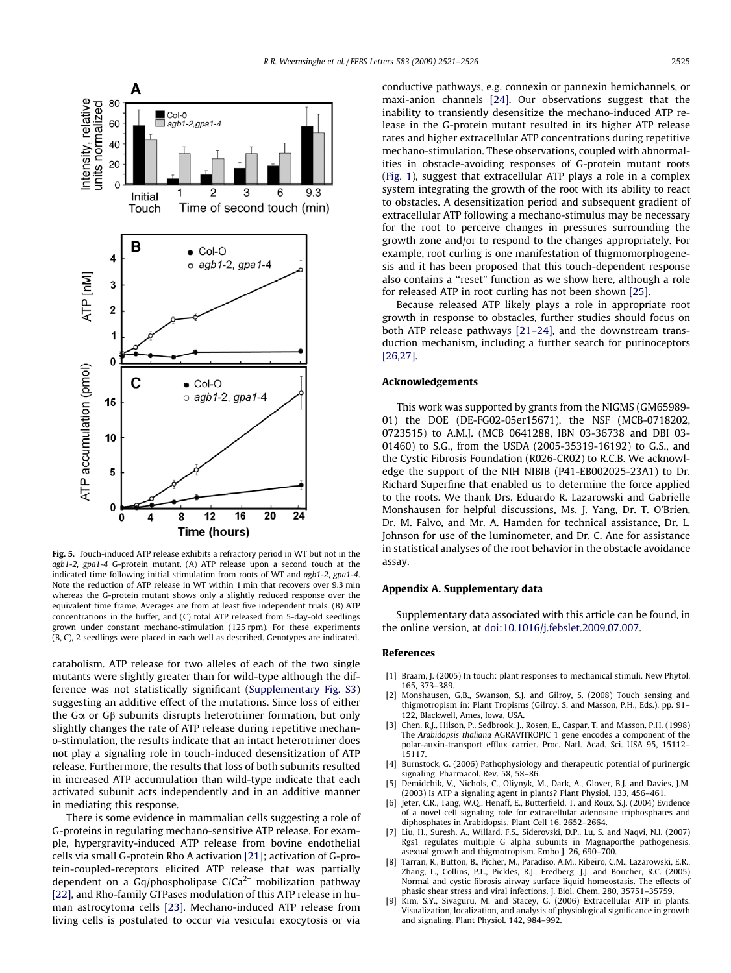<span id="page-4-0"></span>

Fig. 5. Touch-induced ATP release exhibits a refractory period in WT but not in the agb1-2, gpa1-4 G-protein mutant. (A) ATP release upon a second touch at the indicated time following initial stimulation from roots of WT and  $a\alpha b1-2$ ,  $\alpha a1-4$ . Note the reduction of ATP release in WT within 1 min that recovers over 9.3 min whereas the G-protein mutant shows only a slightly reduced response over the equivalent time frame. Averages are from at least five independent trials. (B) ATP concentrations in the buffer, and (C) total ATP released from 5-day-old seedlings grown under constant mechano-stimulation (125 rpm). For these experiments (B, C), 2 seedlings were placed in each well as described. Genotypes are indicated.

catabolism. ATP release for two alleles of each of the two single mutants were slightly greater than for wild-type although the difference was not statistically significant (Supplementary Fig. S3) suggesting an additive effect of the mutations. Since loss of either the G $\alpha$  or G $\beta$  subunits disrupts heterotrimer formation, but only slightly changes the rate of ATP release during repetitive mechano-stimulation, the results indicate that an intact heterotrimer does not play a signaling role in touch-induced desensitization of ATP release. Furthermore, the results that loss of both subunits resulted in increased ATP accumulation than wild-type indicate that each activated subunit acts independently and in an additive manner in mediating this response.

There is some evidence in mammalian cells suggesting a role of G-proteins in regulating mechano-sensitive ATP release. For example, hypergravity-induced ATP release from bovine endothelial cells via small G-protein Rho A activation [\[21\];](#page-5-0) activation of G-protein-coupled-receptors elicited ATP release that was partially dependent on a Gq/phospholipase  $C/Ca^{2+}$  mobilization pathway [\[22\]](#page-5-0), and Rho-family GTPases modulation of this ATP release in human astrocytoma cells [\[23\]](#page-5-0). Mechano-induced ATP release from living cells is postulated to occur via vesicular exocytosis or via conductive pathways, e.g. connexin or pannexin hemichannels, or maxi-anion channels [\[24\].](#page-5-0) Our observations suggest that the inability to transiently desensitize the mechano-induced ATP release in the G-protein mutant resulted in its higher ATP release rates and higher extracellular ATP concentrations during repetitive mechano-stimulation. These observations, coupled with abnormalities in obstacle-avoiding responses of G-protein mutant roots ([Fig. 1\)](#page-1-0), suggest that extracellular ATP plays a role in a complex system integrating the growth of the root with its ability to react to obstacles. A desensitization period and subsequent gradient of extracellular ATP following a mechano-stimulus may be necessary for the root to perceive changes in pressures surrounding the growth zone and/or to respond to the changes appropriately. For example, root curling is one manifestation of thigmomorphogenesis and it has been proposed that this touch-dependent response also contains a ''reset" function as we show here, although a role for released ATP in root curling has not been shown [\[25\]](#page-5-0).

Because released ATP likely plays a role in appropriate root growth in response to obstacles, further studies should focus on both ATP release pathways [\[21–24\]](#page-5-0), and the downstream transduction mechanism, including a further search for purinoceptors [\[26,27\]](#page-5-0).

## Acknowledgements

This work was supported by grants from the NIGMS (GM65989- 01) the DOE (DE-FG02-05er15671), the NSF (MCB-0718202, 0723515) to A.M.J. (MCB 0641288, IBN 03-36738 and DBI 03- 01460) to S.G., from the USDA (2005-35319-16192) to G.S., and the Cystic Fibrosis Foundation (R026-CR02) to R.C.B. We acknowledge the support of the NIH NIBIB (P41-EB002025-23A1) to Dr. Richard Superfine that enabled us to determine the force applied to the roots. We thank Drs. Eduardo R. Lazarowski and Gabrielle Monshausen for helpful discussions, Ms. J. Yang, Dr. T. O'Brien, Dr. M. Falvo, and Mr. A. Hamden for technical assistance, Dr. L. Johnson for use of the luminometer, and Dr. C. Ane for assistance in statistical analyses of the root behavior in the obstacle avoidance assay.

#### Appendix A. Supplementary data

Supplementary data associated with this article can be found, in the online version, at [doi:10.1016/j.febslet.2009.07.007.](http://dx.doi.org/10.1016/j.febslet.2009.07.007)

#### References

- [1] Braam, J. (2005) In touch: plant responses to mechanical stimuli. New Phytol. 165, 373–389.
- [2] Monshausen, G.B., Swanson, S.J. and Gilroy, S. (2008) Touch sensing and thigmotropism in: Plant Tropisms (Gilroy, S. and Masson, P.H., Eds.), pp. 91– 122, Blackwell, Ames, Iowa, USA.
- Chen, R.J., Hilson, P., Sedbrook, J., Rosen, E., Caspar, T. and Masson, P.H. (1998) The Arabidopsis thaliana AGRAVITROPIC 1 gene encodes a component of the polar-auxin-transport efflux carrier. Proc. Natl. Acad. Sci. USA 95, 15112– 15117.
- [4] Burnstock, G. (2006) Pathophysiology and therapeutic potential of purinergic signaling. Pharmacol. Rev. 58, 58–86.
- [5] Demidchik, V., Nichols, C., Oliynyk, M., Dark, A., Glover, B.J. and Davies, J.M. (2003) Is ATP a signaling agent in plants? Plant Physiol. 133, 456–461.
- [6] Jeter, C.R., Tang, W.Q., Henaff, E., Butterfield, T. and Roux, S.J. (2004) Evidence of a novel cell signaling role for extracellular adenosine triphosphates and diphosphates in Arabidopsis. Plant Cell 16, 2652–2664.
- [7] Liu, H., Suresh, A., Willard, F.S., Siderovski, D.P., Lu, S. and Naqvi, N.I. (2007) Rgs1 regulates multiple G alpha subunits in Magnaporthe pathogenesis, asexual growth and thigmotropism. Embo J. 26, 690–700.
- [8] Tarran, R., Button, B., Picher, M., Paradiso, A.M., Ribeiro, C.M., Lazarowski, E.R., Zhang, L., Collins, P.L., Pickles, R.J., Fredberg, J.J. and Boucher, R.C. (2005) Normal and cystic fibrosis airway surface liquid homeostasis. The effects of phasic shear stress and viral infections. J. Biol. Chem. 280, 35751–35759.
- [9] Kim, S.Y., Sivaguru, M. and Stacey, G. (2006) Extracellular ATP in plants. Visualization, localization, and analysis of physiological significance in growth and signaling. Plant Physiol. 142, 984–992.